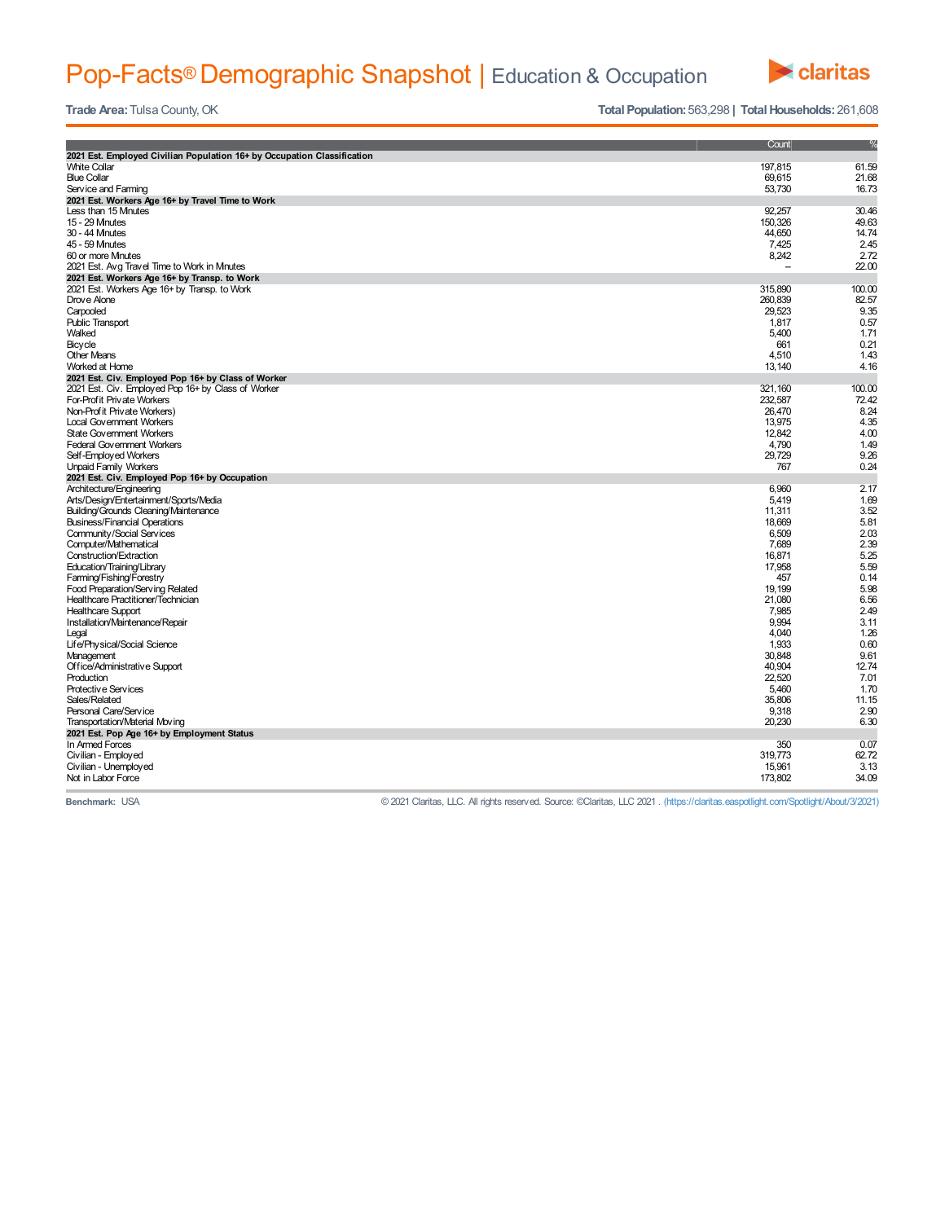# Pop-Facts® Demographic Snapshot | Education & Occupation



**Trade** Area: Tulsa County, OK **Total Population:** 563,298 **| Total Households:** 261,608

|                                                                         | Count    | %      |
|-------------------------------------------------------------------------|----------|--------|
| 2021 Est. Employed Civilian Population 16+ by Occupation Classification |          |        |
| <b>White Collar</b>                                                     | 197,815  | 61.59  |
| <b>Blue Collar</b>                                                      | 69,615   | 21.68  |
| Service and Farming                                                     | 53,730   | 16.73  |
| 2021 Est. Workers Age 16+ by Travel Time to Work                        |          |        |
| Less than 15 Minutes                                                    | 92,257   | 30.46  |
| 15 - 29 Mnutes                                                          | 150,326  | 49.63  |
| 30 - 44 Mnutes                                                          | 44,650   | 14.74  |
| 45 - 59 Mnutes                                                          | 7,425    | 2.45   |
| 60 or more Minutes                                                      | 8,242    | 2.72   |
| 2021 Est. Avg Travel Time to Work in Mnutes                             |          | 22.00  |
| 2021 Est. Workers Age 16+ by Transp. to Work                            |          |        |
| 2021 Est. Workers Age 16+ by Transp. to Work                            | 315,890  | 100.00 |
| Drove Alone                                                             | 260,839  | 82.57  |
| Carpooled                                                               | 29,523   | 9.35   |
| <b>Public Transport</b>                                                 | 1,817    | 0.57   |
| Walked                                                                  | 5,400    | 1.71   |
| Bicycle                                                                 | 661      | 0.21   |
| <b>Other Means</b>                                                      | 4,510    | 1.43   |
| Worked at Home                                                          | 13,140   | 4.16   |
| 2021 Est. Civ. Employed Pop 16+ by Class of Worker                      |          |        |
| 2021 Est. Civ. Employed Pop 16+ by Class of Worker                      | 321, 160 | 100.00 |
| For-Profit Private Workers                                              | 232,587  | 72.42  |
| Non-Prof it Private Workers)                                            | 26,470   | 8.24   |
| <b>Local Government Workers</b>                                         | 13,975   | 4.35   |
| <b>State Government Workers</b>                                         | 12,842   | 4.00   |
| Federal Government Workers                                              | 4,790    | 1.49   |
| Self-Employed Workers                                                   | 29,729   | 9.26   |
| <b>Unpaid Family Workers</b>                                            | 767      | 0.24   |
| 2021 Est. Civ. Employed Pop 16+ by Occupation                           |          |        |
| Architecture/Engineering                                                | 6,960    | 2.17   |
| Arts/Design/Entertainment/Sports/Media                                  | 5,419    | 1.69   |
| Building/Grounds Cleaning/Maintenance                                   | 11,311   | 3.52   |
| <b>Business/Financial Operations</b>                                    | 18,669   | 5.81   |
| Community/Social Services                                               | 6,509    | 2.03   |
| Computer/Mathematical                                                   | 7,689    | 2.39   |
| Construction/Extraction                                                 | 16,871   | 5.25   |
| Education/Training/Library                                              | 17,958   | 5.59   |
| Farming/Fishing/Forestry                                                | 457      | 0.14   |
| Food Preparation/Serving Related                                        | 19,199   | 5.98   |
| Healthcare Practitioner/Technician                                      | 21,080   | 6.56   |
| <b>Healthcare Support</b>                                               | 7,985    | 2.49   |
| Installation/Maintenance/Repair                                         | 9,994    | 3.11   |
| Legal                                                                   | 4,040    | 1.26   |
| Life/Physical/Social Science                                            | 1,933    | 0.60   |
| Management                                                              | 30,848   | 9.61   |
| Office/Administrative Support                                           | 40,904   | 12.74  |
| Production                                                              | 22,520   | 7.01   |
| Protective Services                                                     | 5,460    | 1.70   |
| Sales/Related                                                           | 35,806   | 11.15  |
| Personal Care/Service                                                   | 9,318    | 2.90   |
| Transportation/Material Moving                                          | 20,230   | 6.30   |
| 2021 Est. Pop Age 16+ by Employment Status                              |          |        |
| In Armed Forces                                                         | 350      | 0.07   |
| Civilian - Employed                                                     | 319,773  | 62.72  |
| Civilian - Unemployed                                                   | 15,961   | 3.13   |
| Not in Labor Force                                                      | 173,802  | 34.09  |

**Benchmark:** USA © 2021 Claritas, LLC. All rights reserved. Source: ©Claritas, LLC 2021 . (https://claritas.easpotlight.com/Spotlight/About/3/2021)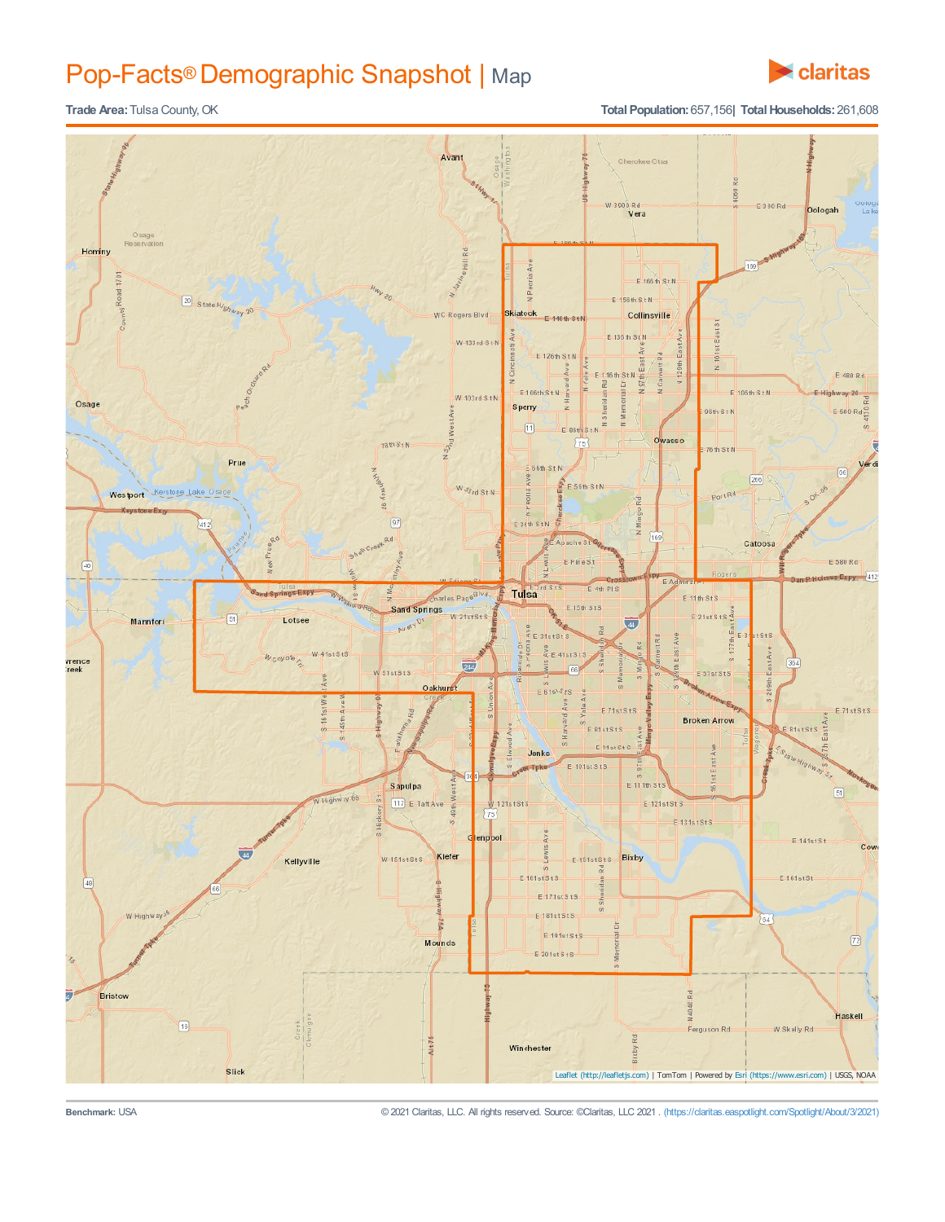## Pop-Facts® Demographic Snapshot | Map



## **Trade Area:** Tulsa County, OK **Total Population:** 657,156**| Total Households:** 261,608



**Benchmark:** USA © 2021 Claritas, LLC. All rights reserved. Source: ©Claritas, LLC 2021 . (https://claritas.easpotlight.com/Spotlight/About/3/2021)